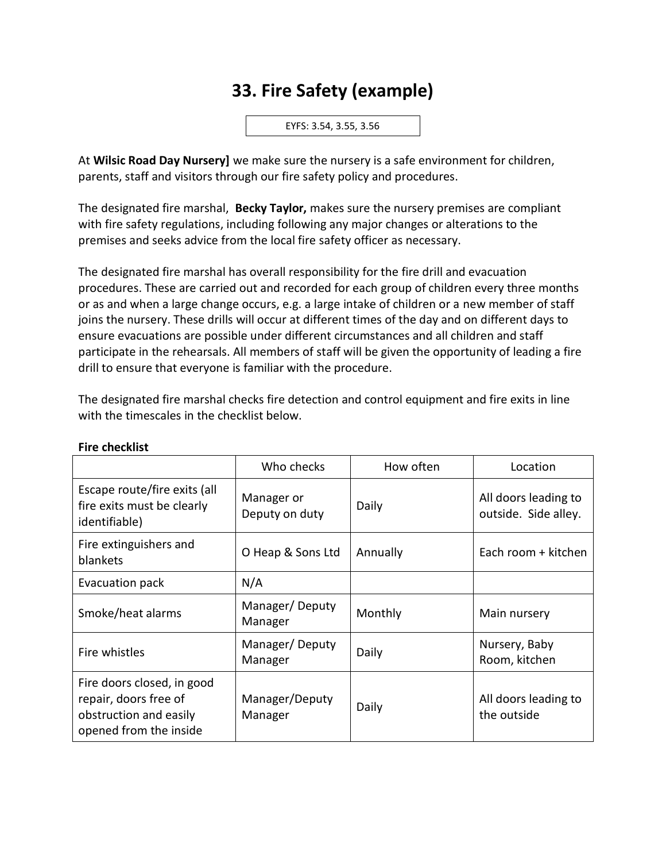# **33. Fire Safety (example)**

EYFS: 3.54, 3.55, 3.56

At **Wilsic Road Day Nursery]** we make sure the nursery is a safe environment for children, parents, staff and visitors through our fire safety policy and procedures.

The designated fire marshal, **Becky Taylor,** makes sure the nursery premises are compliant with fire safety regulations, including following any major changes or alterations to the premises and seeks advice from the local fire safety officer as necessary.

The designated fire marshal has overall responsibility for the fire drill and evacuation procedures. These are carried out and recorded for each group of children every three months or as and when a large change occurs, e.g. a large intake of children or a new member of staff joins the nursery. These drills will occur at different times of the day and on different days to ensure evacuations are possible under different circumstances and all children and staff participate in the rehearsals. All members of staff will be given the opportunity of leading a fire drill to ensure that everyone is familiar with the procedure.

The designated fire marshal checks fire detection and control equipment and fire exits in line with the timescales in the checklist below.

|                                                                                                         | Who checks                   | How often | Location                                     |
|---------------------------------------------------------------------------------------------------------|------------------------------|-----------|----------------------------------------------|
| Escape route/fire exits (all<br>fire exits must be clearly<br>identifiable)                             | Manager or<br>Deputy on duty | Daily     | All doors leading to<br>outside. Side alley. |
| Fire extinguishers and<br>blankets                                                                      | O Heap & Sons Ltd            | Annually  | Each room + kitchen                          |
| Evacuation pack                                                                                         | N/A                          |           |                                              |
| Smoke/heat alarms                                                                                       | Manager/Deputy<br>Manager    | Monthly   | Main nursery                                 |
| Fire whistles                                                                                           | Manager/Deputy<br>Manager    | Daily     | Nursery, Baby<br>Room, kitchen               |
| Fire doors closed, in good<br>repair, doors free of<br>obstruction and easily<br>opened from the inside | Manager/Deputy<br>Manager    | Daily     | All doors leading to<br>the outside          |

#### **Fire checklist**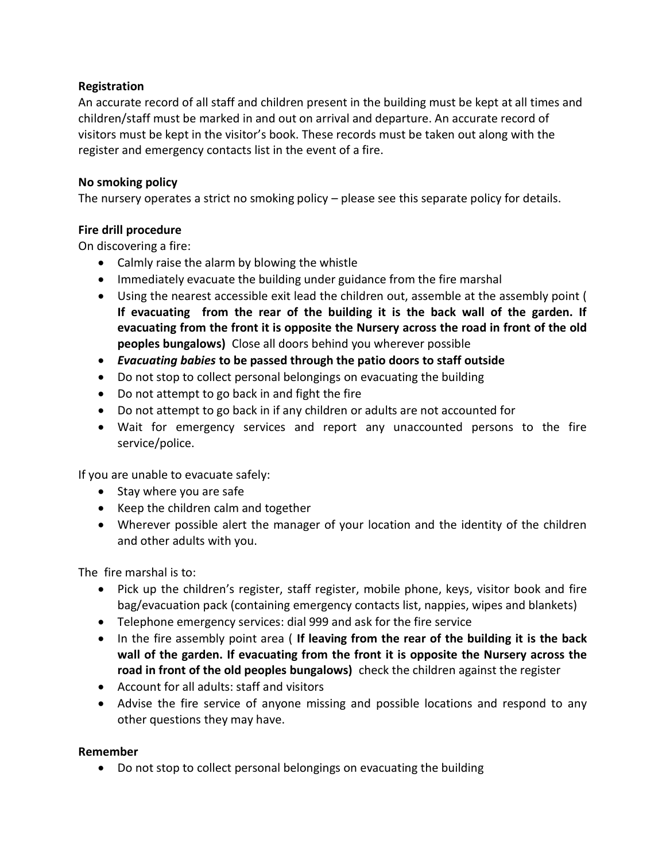### **Registration**

An accurate record of all staff and children present in the building must be kept at all times and children/staff must be marked in and out on arrival and departure. An accurate record of visitors must be kept in the visitor's book. These records must be taken out along with the register and emergency contacts list in the event of a fire.

#### **No smoking policy**

The nursery operates a strict no smoking policy – please see this separate policy for details.

### **Fire drill procedure**

On discovering a fire:

- Calmly raise the alarm by blowing the whistle
- Immediately evacuate the building under guidance from the fire marshal
- Using the nearest accessible exit lead the children out, assemble at the assembly point ( **If evacuating from the rear of the building it is the back wall of the garden. If evacuating from the front it is opposite the Nursery across the road in front of the old peoples bungalows)** Close all doors behind you wherever possible
- *Evacuating babies* **to be passed through the patio doors to staff outside**
- Do not stop to collect personal belongings on evacuating the building
- Do not attempt to go back in and fight the fire
- Do not attempt to go back in if any children or adults are not accounted for
- Wait for emergency services and report any unaccounted persons to the fire service/police.

If you are unable to evacuate safely:

- Stay where you are safe
- Keep the children calm and together
- Wherever possible alert the manager of your location and the identity of the children and other adults with you.

The fire marshal is to:

- Pick up the children's register, staff register, mobile phone, keys, visitor book and fire bag/evacuation pack (containing emergency contacts list, nappies, wipes and blankets)
- Telephone emergency services: dial 999 and ask for the fire service
- In the fire assembly point area ( **If leaving from the rear of the building it is the back wall of the garden. If evacuating from the front it is opposite the Nursery across the road in front of the old peoples bungalows)** check the children against the register
- Account for all adults: staff and visitors
- Advise the fire service of anyone missing and possible locations and respond to any other questions they may have.

## **Remember**

• Do not stop to collect personal belongings on evacuating the building